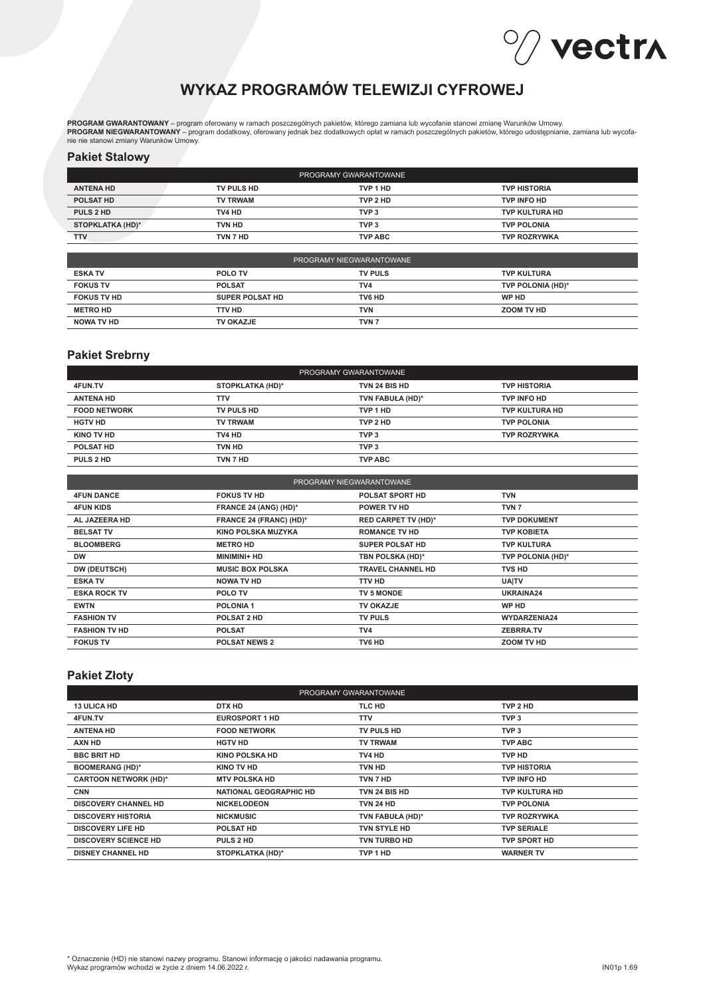# Vectra

# **WYKAZ PROGRAMÓW TELEWIZJI CYFROWEJ**

**PROGRAM GWARANTOWANY** – program oferowany w ramach poszczególnych pakietów, którego zamiana lub wycofanie stanowi zmianę Warunków Umowy.<br>**PROGRAM NIEGWARANTOWANY –** program dodatkowy, oferowany jednak bez dodatkowych opła

#### **Pakiet Stalowy**

| PROGRAMY GWARANTOWANE   |                 |                  |                       |
|-------------------------|-----------------|------------------|-----------------------|
| <b>ANTENA HD</b>        | TV PULS HD      | TVP 1 HD         | <b>TVP HISTORIA</b>   |
| POLSAT HD               | <b>TV TRWAM</b> | TVP 2 HD         | <b>TVP INFO HD</b>    |
| PULS 2 HD               | TV4 HD          | TVP <sub>3</sub> | <b>TVP KULTURA HD</b> |
| <b>STOPKLATKA (HD)*</b> | TVN HD          | TVP <sub>3</sub> | <b>TVP POLONIA</b>    |
| <b>TTV</b>              | TVN 7 HD        | <b>TVP ABC</b>   | <b>TVP ROZRYWKA</b>   |

| PROGRAMY NIEGWARANTOWANE |                        |                  |                    |
|--------------------------|------------------------|------------------|--------------------|
| <b>ESKA TV</b>           | <b>POLO TV</b>         | <b>TV PULS</b>   | <b>TVP KULTURA</b> |
| <b>FOKUS TV</b>          | <b>POLSAT</b>          | TV4              | TVP POLONIA (HD)*  |
| <b>FOKUS TV HD</b>       | <b>SUPER POLSAT HD</b> | TV6 HD           | WP HD              |
| <b>METRO HD</b>          | TTV HD                 | TVN              | ZOOM TV HD         |
| <b>NOWA TV HD</b>        | TV OKAZJE              | TVN <sub>7</sub> |                    |

#### **Pakiet Srebrny**

| PROGRAMY GWARANTOWANE |                  |                  |                       |  |
|-----------------------|------------------|------------------|-----------------------|--|
| 4FUN.TV               | STOPKLATKA (HD)* | TVN 24 BIS HD    | <b>TVP HISTORIA</b>   |  |
| <b>ANTENA HD</b>      | <b>TTV</b>       | TVN FABUŁA (HD)* | TVP INFO HD           |  |
| <b>FOOD NETWORK</b>   | TV PULS HD       | TVP 1 HD         | <b>TVP KULTURA HD</b> |  |
| <b>HGTV HD</b>        | <b>TV TRWAM</b>  | TVP 2 HD         | <b>TVP POLONIA</b>    |  |
| KINO TV HD            | TV4 HD           | TVP <sub>3</sub> | <b>TVP ROZRYWKA</b>   |  |
| POLSAT HD             | TVN HD           | TVP <sub>3</sub> |                       |  |
| PULS 2 HD             | TVN 7 HD         | <b>TVP ABC</b>   |                       |  |

| PROGRAMY NIEGWARANTOWANE |                         |                            |                     |
|--------------------------|-------------------------|----------------------------|---------------------|
| <b>4FUN DANCE</b>        | <b>FOKUS TV HD</b>      | <b>POLSAT SPORT HD</b>     | <b>TVN</b>          |
| <b>4FUN KIDS</b>         | FRANCE 24 (ANG) (HD)*   | <b>POWER TV HD</b>         | TVN <sub>7</sub>    |
| AL JAZEERA HD            | FRANCE 24 (FRANC) (HD)* | <b>RED CARPET TV (HD)*</b> | <b>TVP DOKUMENT</b> |
| <b>BELSAT TV</b>         | KINO POLSKA MUZYKA      | <b>ROMANCE TV HD</b>       | <b>TVP KOBIETA</b>  |
| <b>BLOOMBERG</b>         | <b>METRO HD</b>         | <b>SUPER POLSAT HD</b>     | <b>TVP KULTURA</b>  |
| <b>DW</b>                | <b>MINIMINI+ HD</b>     | TBN POLSKA (HD)*           | TVP POLONIA (HD)*   |
| DW (DEUTSCH)             | <b>MUSIC BOX POLSKA</b> | <b>TRAVEL CHANNEL HD</b>   | <b>TVS HD</b>       |
| <b>ESKA TV</b>           | NOWA TV HD              | TTV HD                     | <b>UAITV</b>        |
| <b>ESKA ROCK TV</b>      | POLO TV                 | <b>TV 5 MONDE</b>          | UKRAINA24           |
| <b>EWTN</b>              | <b>POLONIA1</b>         | <b>TV OKAZJE</b>           | <b>WP HD</b>        |
| <b>FASHION TV</b>        | POLSAT 2 HD             | <b>TV PULS</b>             | WYDARZENIA24        |
| <b>FASHION TV HD</b>     | <b>POLSAT</b>           | TV <sub>4</sub>            | <b>ZEBRRA.TV</b>    |
| <b>FOKUS TV</b>          | <b>POLSAT NEWS 2</b>    | TV6 HD                     | ZOOM TV HD          |

### **Pakiet Złoty**

| PROGRAMY GWARANTOWANE        |                               |                      |                     |  |
|------------------------------|-------------------------------|----------------------|---------------------|--|
| <b>13 ULICA HD</b>           | DTX HD                        | TLC HD               | TVP 2 HD            |  |
| 4FUN.TV                      | <b>EUROSPORT 1 HD</b>         | TTV                  | TVP <sub>3</sub>    |  |
| <b>ANTENA HD</b>             | <b>FOOD NETWORK</b>           | <b>TV PULS HD</b>    | TVP <sub>3</sub>    |  |
| AXN HD                       | <b>HGTV HD</b>                | <b>TV TRWAM</b>      | <b>TVP ABC</b>      |  |
| <b>BBC BRIT HD</b>           | <b>KINO POLSKA HD</b>         | TV4 HD               | TVP HD              |  |
| <b>BOOMERANG (HD)*</b>       | KINO TV HD                    | <b>TVN HD</b>        | <b>TVP HISTORIA</b> |  |
| <b>CARTOON NETWORK (HD)*</b> | <b>MTV POLSKA HD</b>          | TVN 7 HD             | <b>TVP INFO HD</b>  |  |
| <b>CNN</b>                   | <b>NATIONAL GEOGRAPHIC HD</b> | <b>TVN 24 BIS HD</b> | TVP KULTURA HD      |  |
| <b>DISCOVERY CHANNEL HD</b>  | <b>NICKELODEON</b>            | <b>TVN 24 HD</b>     | <b>TVP POLONIA</b>  |  |
| <b>DISCOVERY HISTORIA</b>    | <b>NICKMUSIC</b>              | TVN FABUŁA (HD)*     | <b>TVP ROZRYWKA</b> |  |
| <b>DISCOVERY LIFE HD</b>     | <b>POLSAT HD</b>              | <b>TVN STYLE HD</b>  | <b>TVP SERIALE</b>  |  |
| <b>DISCOVERY SCIENCE HD</b>  | PULS 2 HD                     | <b>TVN TURBO HD</b>  | <b>TVP SPORT HD</b> |  |
| <b>DISNEY CHANNEL HD</b>     | <b>STOPKLATKA (HD)*</b>       | TVP 1 HD             | <b>WARNER TV</b>    |  |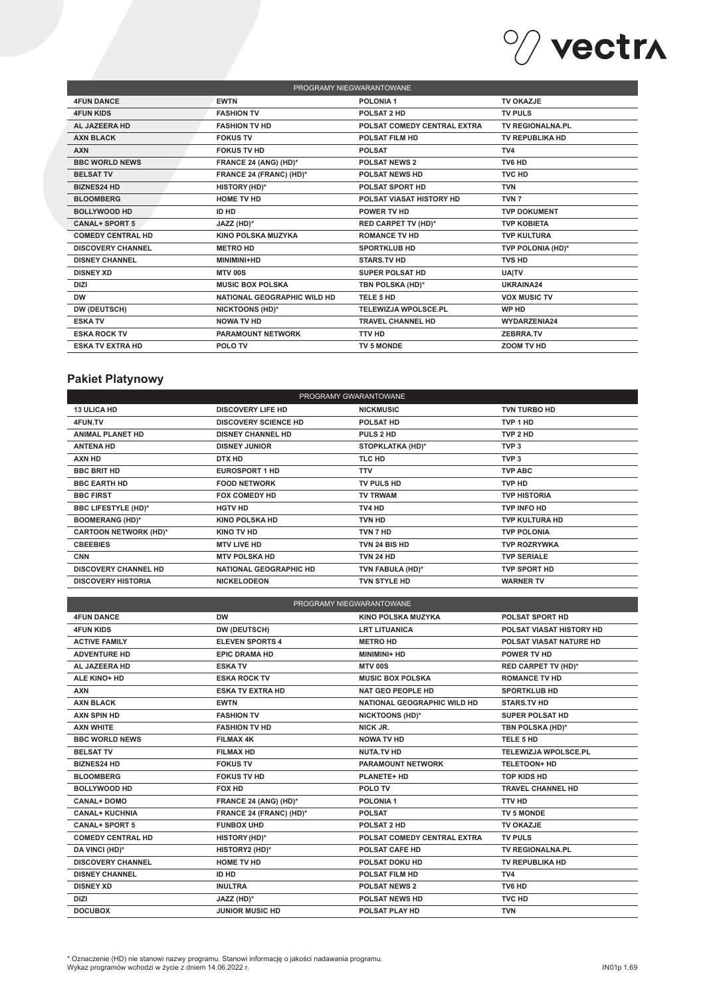

| PROGRAMY NIEGWARANTOWANE |                             |                             |                         |  |
|--------------------------|-----------------------------|-----------------------------|-------------------------|--|
| <b>4FUN DANCE</b>        | <b>EWTN</b>                 | POLONIA <sub>1</sub>        | <b>TV OKAZJE</b>        |  |
| <b>4FUN KIDS</b>         | <b>FASHION TV</b>           | POLSAT 2 HD                 | <b>TV PULS</b>          |  |
| AL JAZEERA HD            | <b>FASHION TV HD</b>        | POLSAT COMEDY CENTRAL EXTRA | <b>TV REGIONALNA.PL</b> |  |
| <b>AXN BLACK</b>         | <b>FOKUS TV</b>             | <b>POLSAT FILM HD</b>       | TV REPUBLIKA HD         |  |
| <b>AXN</b>               | <b>FOKUS TV HD</b>          | <b>POLSAT</b>               | TV4                     |  |
| <b>BBC WORLD NEWS</b>    | FRANCE 24 (ANG) (HD)*       | <b>POLSAT NEWS 2</b>        | TV6 HD                  |  |
| <b>BELSAT TV</b>         | FRANCE 24 (FRANC) (HD)*     | <b>POLSAT NEWS HD</b>       | <b>TVC HD</b>           |  |
| <b>BIZNES24 HD</b>       | HISTORY (HD)*               | <b>POLSAT SPORT HD</b>      | <b>TVN</b>              |  |
| <b>BLOOMBERG</b>         | <b>HOME TV HD</b>           | POLSAT VIASAT HISTORY HD    | TVN <sub>7</sub>        |  |
| <b>BOLLYWOOD HD</b>      | <b>ID HD</b>                | <b>POWER TV HD</b>          | <b>TVP DOKUMENT</b>     |  |
| <b>CANAL+ SPORT 5</b>    | JAZZ (HD)*                  | <b>RED CARPET TV (HD)*</b>  | <b>TVP KOBIETA</b>      |  |
| <b>COMEDY CENTRAL HD</b> | <b>KINO POLSKA MUZYKA</b>   | <b>ROMANCE TV HD</b>        | <b>TVP KULTURA</b>      |  |
| <b>DISCOVERY CHANNEL</b> | <b>METRO HD</b>             | <b>SPORTKLUB HD</b>         | TVP POLONIA (HD)*       |  |
| <b>DISNEY CHANNEL</b>    | MINIMINI+HD                 | <b>STARS.TV HD</b>          | TVS HD                  |  |
| <b>DISNEY XD</b>         | <b>MTV 00S</b>              | <b>SUPER POLSAT HD</b>      | <b>UAITV</b>            |  |
| <b>DIZI</b>              | <b>MUSIC BOX POLSKA</b>     | TBN POLSKA (HD)*            | UKRAINA24               |  |
| <b>DW</b>                | NATIONAL GEOGRAPHIC WILD HD | TELE 5 HD                   | <b>VOX MUSIC TV</b>     |  |
| DW (DEUTSCH)             | <b>NICKTOONS (HD)*</b>      | <b>TELEWIZJA WPOLSCE.PL</b> | WP HD                   |  |
| <b>ESKA TV</b>           | <b>NOWA TV HD</b>           | TRAVEL CHANNEL HD           | <b>WYDARZENIA24</b>     |  |
| <b>ESKA ROCK TV</b>      | <b>PARAMOUNT NETWORK</b>    | <b>TTV HD</b>               | <b>ZEBRRA.TV</b>        |  |
| <b>ESKA TV EXTRA HD</b>  | POLO TV                     | <b>TV 5 MONDE</b>           | ZOOM TV HD              |  |
|                          |                             |                             |                         |  |

# **Pakiet Platynowy**

| PROGRAMY GWARANTOWANE        |                               |                   |                       |  |
|------------------------------|-------------------------------|-------------------|-----------------------|--|
| <b>13 ULICA HD</b>           | <b>DISCOVERY LIFE HD</b>      | <b>NICKMUSIC</b>  | <b>TVN TURBO HD</b>   |  |
| 4FUN.TV                      | <b>DISCOVERY SCIENCE HD</b>   | <b>POLSAT HD</b>  | TVP 1 HD              |  |
| <b>ANIMAL PLANET HD</b>      | <b>DISNEY CHANNEL HD</b>      | PULS 2 HD         | TVP 2 HD              |  |
| <b>ANTENA HD</b>             | <b>DISNEY JUNIOR</b>          | STOPKLATKA (HD)*  | TVP <sub>3</sub>      |  |
| AXN HD                       | DTX HD                        | TLC HD            | TVP <sub>3</sub>      |  |
| <b>BBC BRIT HD</b>           | <b>EUROSPORT 1 HD</b>         | <b>TTV</b>        | <b>TVP ABC</b>        |  |
| <b>BBC EARTH HD</b>          | <b>FOOD NETWORK</b>           | <b>TV PULS HD</b> | TVP HD                |  |
| <b>BBC FIRST</b>             | <b>FOX COMEDY HD</b>          | <b>TV TRWAM</b>   | <b>TVP HISTORIA</b>   |  |
| <b>BBC LIFESTYLE (HD)*</b>   | <b>HGTV HD</b>                | TV4 HD            | TVP INFO HD           |  |
| <b>BOOMERANG (HD)*</b>       | <b>KINO POLSKA HD</b>         | TVN HD            | <b>TVP KULTURA HD</b> |  |
| <b>CARTOON NETWORK (HD)*</b> | KINO TV HD                    | TVN 7 HD          | <b>TVP POLONIA</b>    |  |
| <b>CBEEBIES</b>              | <b>MTV LIVE HD</b>            | TVN 24 BIS HD     | <b>TVP ROZRYWKA</b>   |  |
| <b>CNN</b>                   | <b>MTV POLSKA HD</b>          | <b>TVN 24 HD</b>  | <b>TVP SERIALE</b>    |  |
| <b>DISCOVERY CHANNEL HD</b>  | <b>NATIONAL GEOGRAPHIC HD</b> | TVN FABUŁA (HD)*  | <b>TVP SPORT HD</b>   |  |
| <b>DISCOVERY HISTORIA</b>    | <b>NICKELODEON</b>            | TVN STYLE HD      | <b>WARNER TV</b>      |  |
|                              |                               |                   |                       |  |

| PROGRAMY NIEGWARANTOWANE |                         |                                    |                             |  |
|--------------------------|-------------------------|------------------------------------|-----------------------------|--|
| <b>4FUN DANCE</b>        | <b>DW</b>               | <b>KINO POLSKA MUZYKA</b>          | <b>POLSAT SPORT HD</b>      |  |
| <b>4FUN KIDS</b>         | DW (DEUTSCH)            | <b>LRT LITUANICA</b>               | POLSAT VIASAT HISTORY HD    |  |
| <b>ACTIVE FAMILY</b>     | <b>ELEVEN SPORTS 4</b>  | <b>METRO HD</b>                    | POLSAT VIASAT NATURE HD     |  |
| <b>ADVENTURE HD</b>      | <b>EPIC DRAMA HD</b>    | MINIMINI+ HD                       | POWER TV HD                 |  |
| AL JAZEERA HD            | <b>ESKA TV</b>          | <b>MTV 00S</b>                     | <b>RED CARPET TV (HD)*</b>  |  |
| ALE KINO+ HD             | <b>ESKA ROCK TV</b>     | <b>MUSIC BOX POLSKA</b>            | <b>ROMANCE TV HD</b>        |  |
| <b>AXN</b>               | <b>ESKA TV EXTRA HD</b> | <b>NAT GEO PEOPLE HD</b>           | <b>SPORTKLUB HD</b>         |  |
| <b>AXN BLACK</b>         | <b>EWTN</b>             | <b>NATIONAL GEOGRAPHIC WILD HD</b> | <b>STARS.TV HD</b>          |  |
| <b>AXN SPIN HD</b>       | <b>FASHION TV</b>       | <b>NICKTOONS (HD)*</b>             | SUPER POLSAT HD             |  |
| <b>AXN WHITE</b>         | <b>FASHION TV HD</b>    | NICK JR.                           | TBN POLSKA (HD)*            |  |
| <b>BBC WORLD NEWS</b>    | <b>FILMAX 4K</b>        | <b>NOWA TV HD</b>                  | TELE 5 HD                   |  |
| <b>BELSAT TV</b>         | <b>FILMAX HD</b>        | <b>NUTA.TV HD</b>                  | <b>TELEWIZJA WPOLSCE.PL</b> |  |
| <b>BIZNES24 HD</b>       | <b>FOKUS TV</b>         | <b>PARAMOUNT NETWORK</b>           | TELETOON+ HD                |  |
| <b>BLOOMBERG</b>         | <b>FOKUS TV HD</b>      | <b>PLANETE+ HD</b>                 | <b>TOP KIDS HD</b>          |  |
| <b>BOLLYWOOD HD</b>      | FOX HD                  | POLO TV                            | <b>TRAVEL CHANNEL HD</b>    |  |
| <b>CANAL+DOMO</b>        | FRANCE 24 (ANG) (HD)*   | POLONIA <sub>1</sub>               | <b>TTV HD</b>               |  |
| <b>CANAL+ KUCHNIA</b>    | FRANCE 24 (FRANC) (HD)* | <b>POLSAT</b>                      | TV 5 MONDE                  |  |
| <b>CANAL+ SPORT 5</b>    | <b>FUNBOX UHD</b>       | POLSAT 2 HD                        | TV OKAZJE                   |  |
| <b>COMEDY CENTRAL HD</b> | HISTORY (HD)*           | POLSAT COMEDY CENTRAL EXTRA        | <b>TV PULS</b>              |  |
| DA VINCI (HD)*           | HISTORY2 (HD)*          | POLSAT CAFE HD                     | TV REGIONALNA.PL            |  |
| <b>DISCOVERY CHANNEL</b> | <b>HOME TV HD</b>       | <b>POLSAT DOKU HD</b>              | TV REPUBLIKA HD             |  |
| <b>DISNEY CHANNEL</b>    | ID HD                   | <b>POLSAT FILM HD</b>              | TV4                         |  |
| <b>DISNEY XD</b>         | <b>INULTRA</b>          | <b>POLSAT NEWS 2</b>               | TV6 HD                      |  |
| <b>DIZI</b>              | JAZZ (HD)*              | <b>POLSAT NEWS HD</b>              | <b>TVC HD</b>               |  |
| <b>DOCUBOX</b>           | <b>JUNIOR MUSIC HD</b>  | POLSAT PLAY HD                     | <b>TVN</b>                  |  |

\* Oznaczenie (HD) nie stanowi nazwy programu. Stanowi informację o jakości nadawania programu. Wykaz programów wchodzi w życie z dniem 14.06.2022 r.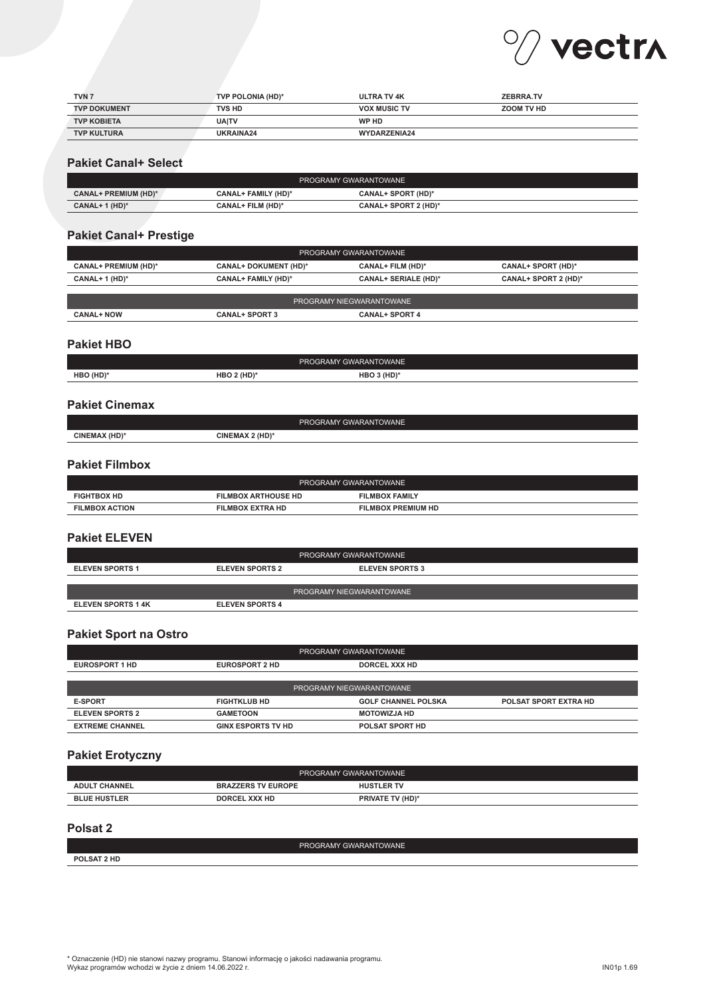

| TVN <sub>7</sub>    | TVP POLONIA (HD)* | <b>ULTRA TV 4K</b>  | <b>ZEBRRA.TV</b> |
|---------------------|-------------------|---------------------|------------------|
| <b>TVP DOKUMENT</b> | <b>TVS HD</b>     | <b>VOX MUSIC TV</b> | ZOOM TV HD       |
| <b>TVP KOBIETA</b>  | <b>UAITV</b>      | WP HD               |                  |
| <b>TVP KULTURA</b>  | UKRAINA24         | WYDARZENIA24        |                  |

#### **Pakiet Canal+ Select**

| PROGRAMY GWARANTOWANE       |                     |                           |  |
|-----------------------------|---------------------|---------------------------|--|
| <b>CANAL+ PREMIUM (HD)*</b> | CANAL+ FAMILY (HD)* | <b>CANAL+ SPORT (HD)*</b> |  |
| CANAL+ 1 (HD)*              | CANAL+ FILM (HD)*   | CANAL+ SPORT 2 (HD)*      |  |

## **Pakiet Canal+ Prestige**

| PROGRAMY GWARANTOWANE           |                            |                          |                           |  |
|---------------------------------|----------------------------|--------------------------|---------------------------|--|
| <b>CANAL+ PREMIUM (HD)*</b>     | CANAL+ DOKUMENT (HD)*      | <b>CANAL+ FILM (HD)*</b> | <b>CANAL+ SPORT (HD)*</b> |  |
| CANAL+ 1 $(HD)^*$               | <b>CANAL+ FAMILY (HD)*</b> | CANAL+ SERIALE (HD)*     | CANAL+ SPORT 2 (HD)*      |  |
|                                 |                            |                          |                           |  |
| <b>PROGRAMY NIEGWARANTOWANE</b> |                            |                          |                           |  |
| <b>CANAL+ NOW</b>               | <b>CANAL+ SPORT 3</b>      | <b>CANAL+ SPORT 4</b>    |                           |  |

#### **Pakiet HBO**

|           |                                       | PROGRAMY GWARANTOWANE |  |
|-----------|---------------------------------------|-----------------------|--|
| HBO (HD)* | $2$ (HD)<br>ΗBΟ<br>$\sim$ 4 mp $\sim$ | '(HD) د<br>нвс<br>__  |  |
|           |                                       |                       |  |

# **Pakiet Cinemax**

| $\overline{\phantom{a}}$                                                     |  |
|------------------------------------------------------------------------------|--|
| `Y (HD)*<br>CINE<br>$2$ (HD)<br>CINE<br>11 A<br><b>EMAX</b><br><b>CIVIAA</b> |  |

# **Pakiet Filmbox**

| PROGRAMY GWARANTOWANE |                            |                           |  |
|-----------------------|----------------------------|---------------------------|--|
| <b>FIGHTBOX HD</b>    | <b>FILMBOX ARTHOUSE HD</b> | <b>FILMBOX FAMILY</b>     |  |
| <b>FILMBOX ACTION</b> | <b>FILMBOX EXTRA HD</b>    | <b>FILMBOX PREMIUM HD</b> |  |

#### **Pakiet ELEVEN**

| PROGRAMY GWARANTOWANE     |                        |                          |  |
|---------------------------|------------------------|--------------------------|--|
| <b>ELEVEN SPORTS 1</b>    | <b>ELEVEN SPORTS 2</b> | <b>ELEVEN SPORTS 3</b>   |  |
|                           |                        |                          |  |
|                           |                        | PROGRAMY NIEGWARANTOWANE |  |
| <b>ELEVEN SPORTS 1 4K</b> | <b>ELEVEN SPORTS 4</b> |                          |  |

#### **Pakiet Sport na Ostro**

| PROGRAMY GWARANTOWANE    |                           |                            |                              |
|--------------------------|---------------------------|----------------------------|------------------------------|
| <b>EUROSPORT 1 HD</b>    | <b>EUROSPORT 2 HD</b>     | DORCEL XXX HD              |                              |
|                          |                           |                            |                              |
| PROGRAMY NIEGWARANTOWANE |                           |                            |                              |
| <b>E-SPORT</b>           | <b>FIGHTKLUB HD</b>       | <b>GOLF CHANNEL POLSKA</b> | <b>POLSAT SPORT EXTRA HD</b> |
| <b>ELEVEN SPORTS 2</b>   | <b>GAMETOON</b>           | <b>MOTOWIZJA HD</b>        |                              |
| <b>EXTREME CHANNEL</b>   | <b>GINX ESPORTS TV HD</b> | <b>POLSAT SPORT HD</b>     |                              |

#### **Pakiet Erotyczny**

|                      |                           | PROGRAMY GWARANTOWANE   |
|----------------------|---------------------------|-------------------------|
| <b>ADULT CHANNEL</b> | <b>BRAZZERS TV EUROPE</b> | <b>HUSTLER TV</b>       |
| <b>BLUE HUSTLER</b>  | DORCEL XXX HD             | <b>PRIVATE TV (HD)*</b> |

#### **Polsat 2**

PROGRAMY GWARANTOWANE **POLSAT 2 HD**